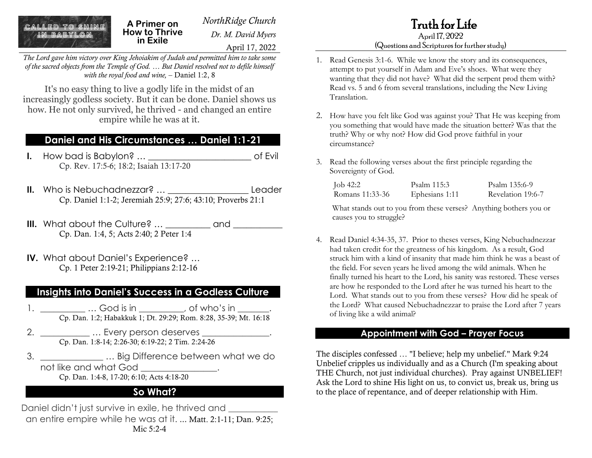CALLED TO SHINE IN BABYLON

**A Primer on How to Thrive in Exile**

*NorthRidge Church Dr. M. David Myers* April 17, 2022

*The Lord gave him victory over King Jehoiakim of Judah and permitted him to take some of the sacred objects from the Temple of God. … But Daniel resolved not to defile himself with the royal food and wine,* – Daniel 1:2, 8

It's no easy thing to live a godly life in the midst of an increasingly godless society. But it can be done. Daniel shows us how. He not only survived, he thrived - and changed an entire empire while he was at it.

### **Daniel and His Circumstances … Daniel 1:1-21**

- **I.** How bad is Babylon? … \_\_\_\_\_\_\_\_\_\_\_\_\_\_\_\_\_\_\_\_\_\_\_ of Evil Cp. Rev. 17:5-6; 18:2; Isaiah 13:17-20
- **II.** Who is Nebuchadnezzar? ... \_\_\_\_\_\_\_\_\_\_\_\_\_\_\_\_\_\_\_\_\_\_\_\_\_Leader Cp. Daniel 1:1-2; Jeremiah 25:9; 27:6; 43:10; Proverbs 21:1
- **III.** What about the Culture? ... \_\_\_\_\_\_\_\_\_ and \_\_\_\_\_\_\_\_\_ Cp. Dan. 1:4, 5; Acts 2:40; 2 Peter 1:4
- **IV.** What about Daniel's Experience? … Cp. 1 Peter 2:19-21; Philippians 2:12-16

### **Insights into Daniel's Success in a Godless Culture**

- 1. \_\_\_\_\_\_\_\_\_\_ … God is in \_\_\_\_\_\_\_\_\_\_, of who's in \_\_\_\_\_\_\_. Cp. Dan. 1:2; Habakkuk 1; Dt. 29:29; Rom. 8:28, 35-39; Mt. 16:18
- 2. \_\_\_\_\_\_\_\_\_\_\_\_\_ ... Every person deserves \_\_\_\_\_\_\_\_\_\_\_\_\_\_\_\_. Cp. Dan. 1:8-14; 2:26-30; 6:19-22; 2 Tim. 2:24-26
- 3. \_\_\_\_\_\_\_\_\_\_\_\_\_\_ … Big Difference between what we do not like and what God Cp. Dan. 1:4-8, 17-20; 6:10; Acts 4:18-20

## **So What?**

Daniel didn't just survive in exile, he thrived and an entire empire while he was at it. … Matt. 2:1-11; Dan. 9:25; Mic 5:2-4

# Truth for Life

#### April 17, 2022 (Questions and Scriptures for further study)

- 1. Read Genesis 3:1-6. While we know the story and its consequences, attempt to put yourself in Adam and Eve's shoes. What were they wanting that they did not have? What did the serpent prod them with? Read vs. 5 and 6 from several translations, including the New Living Translation.
- 2. How have you felt like God was against you? That He was keeping from you something that would have made the situation better? Was that the truth? Why or why not? How did God prove faithful in your circumstance?
- 3. Read the following verses about the first principle regarding the Sovereignty of God.

| Job 42:2        | Psalm 115:3    | Psalm 135:6-9     |
|-----------------|----------------|-------------------|
| Romans 11:33-36 | Ephesians 1:11 | Revelation 19:6-7 |

What stands out to you from these verses? Anything bothers you or causes you to struggle?

4. Read Daniel 4:34-35, 37. Prior to theses verses, King Nebuchadnezzar had taken credit for the greatness of his kingdom. As a result, God struck him with a kind of insanity that made him think he was a beast of the field. For seven years he lived among the wild animals. When he finally turned his heart to the Lord, his sanity was restored. These verses are how he responded to the Lord after he was turned his heart to the Lord. What stands out to you from these verses? How did he speak of the Lord? What caused Nebuchadnezzar to praise the Lord after 7 years of living like a wild animal?

#### **Appointment with God – Prayer Focus**

The disciples confessed … "I believe; help my unbelief." Mark 9:24 Unbelief cripples us individually and as a Church (I'm speaking about THE Church, not just individual churches). Pray against UNBELIEF! Ask the Lord to shine His light on us, to convict us, break us, bring us to the place of repentance, and of deeper relationship with Him.